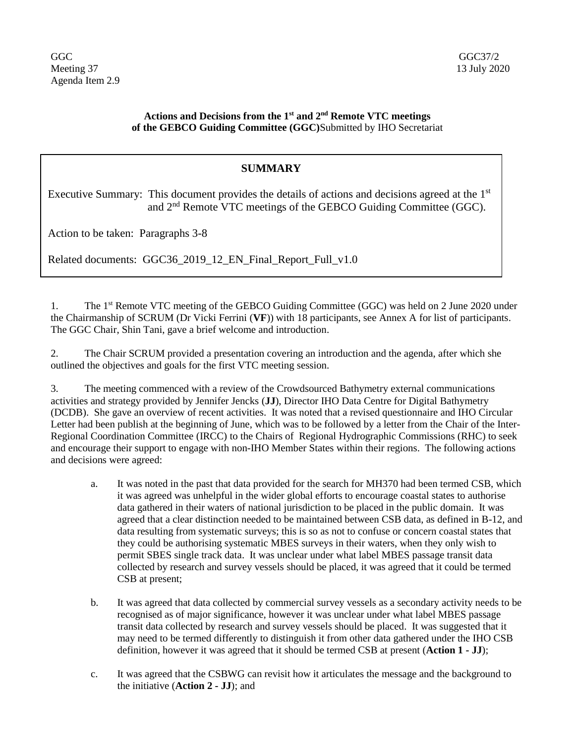## **Actions and Decisions from the 1st and 2nd Remote VTC meetings of the GEBCO Guiding Committee (GGC)**Submitted by IHO Secretariat

## **SUMMARY**

Executive Summary: This document provides the details of actions and decisions agreed at the  $1<sup>st</sup>$ and 2nd Remote VTC meetings of the GEBCO Guiding Committee (GGC).

Action to be taken: Paragraphs 3-8

Related documents: GGC36 2019 12 EN Final Report Full v1.0

1. The 1<sup>st</sup> Remote VTC meeting of the GEBCO Guiding Committee (GGC) was held on 2 June 2020 under the Chairmanship of SCRUM (Dr Vicki Ferrini (**VF**)) with 18 participants, see Annex A for list of participants. The GGC Chair, Shin Tani, gave a brief welcome and introduction.

2. The Chair SCRUM provided a presentation covering an introduction and the agenda, after which she outlined the objectives and goals for the first VTC meeting session.

3. The meeting commenced with a review of the Crowdsourced Bathymetry external communications activities and strategy provided by Jennifer Jencks (**JJ**), Director IHO Data Centre for Digital Bathymetry (DCDB). She gave an overview of recent activities. It was noted that a revised questionnaire and IHO Circular Letter had been publish at the beginning of June, which was to be followed by a letter from the Chair of the Inter-Regional Coordination Committee (IRCC) to the Chairs of Regional Hydrographic Commissions (RHC) to seek and encourage their support to engage with non-IHO Member States within their regions. The following actions and decisions were agreed:

- a. It was noted in the past that data provided for the search for MH370 had been termed CSB, which it was agreed was unhelpful in the wider global efforts to encourage coastal states to authorise data gathered in their waters of national jurisdiction to be placed in the public domain. It was agreed that a clear distinction needed to be maintained between CSB data, as defined in B-12, and data resulting from systematic surveys; this is so as not to confuse or concern coastal states that they could be authorising systematic MBES surveys in their waters, when they only wish to permit SBES single track data. It was unclear under what label MBES passage transit data collected by research and survey vessels should be placed, it was agreed that it could be termed CSB at present;
- b. It was agreed that data collected by commercial survey vessels as a secondary activity needs to be recognised as of major significance, however it was unclear under what label MBES passage transit data collected by research and survey vessels should be placed. It was suggested that it may need to be termed differently to distinguish it from other data gathered under the IHO CSB definition, however it was agreed that it should be termed CSB at present (**Action 1 - JJ**);
- c. It was agreed that the CSBWG can revisit how it articulates the message and the background to the initiative (**Action 2 - JJ**); and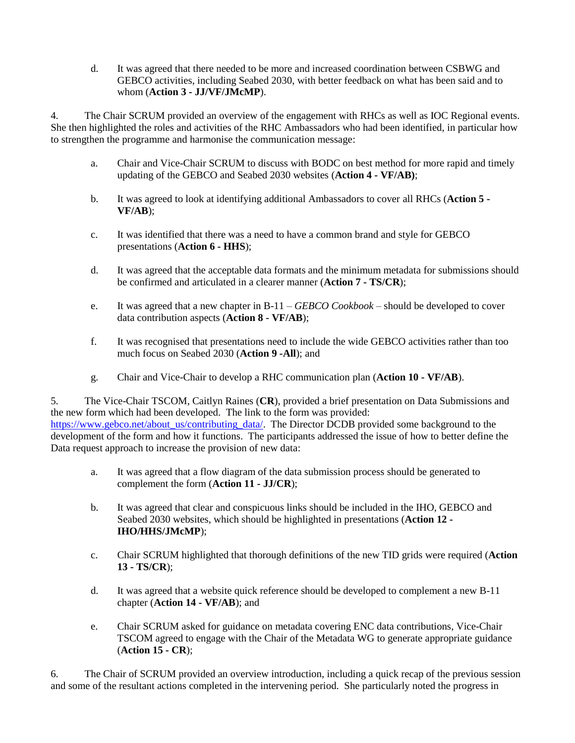d. It was agreed that there needed to be more and increased coordination between CSBWG and GEBCO activities, including Seabed 2030, with better feedback on what has been said and to whom (**Action 3 - JJ/VF/JMcMP**).

4. The Chair SCRUM provided an overview of the engagement with RHCs as well as IOC Regional events. She then highlighted the roles and activities of the RHC Ambassadors who had been identified, in particular how to strengthen the programme and harmonise the communication message:

- a. Chair and Vice-Chair SCRUM to discuss with BODC on best method for more rapid and timely updating of the GEBCO and Seabed 2030 websites (**Action 4 - VF/AB)**;
- b. It was agreed to look at identifying additional Ambassadors to cover all RHCs (**Action 5 - VF/AB**);
- c. It was identified that there was a need to have a common brand and style for GEBCO presentations (**Action 6 - HHS**);
- d. It was agreed that the acceptable data formats and the minimum metadata for submissions should be confirmed and articulated in a clearer manner (**Action 7 - TS/CR**);
- e. It was agreed that a new chapter in B-11 *GEBCO Cookbook* should be developed to cover data contribution aspects (**Action 8 - VF/AB**);
- f. It was recognised that presentations need to include the wide GEBCO activities rather than too much focus on Seabed 2030 (**Action 9 -All**); and
- g. Chair and Vice-Chair to develop a RHC communication plan (**Action 10 - VF/AB**).

5. The Vice-Chair TSCOM, Caitlyn Raines (**CR**), provided a brief presentation on Data Submissions and the new form which had been developed. The link to the form was provided: [https://www.gebco.net/about\\_us/contributing\\_data/.](https://www.gebco.net/about_us/contributing_data/) The Director DCDB provided some background to the development of the form and how it functions. The participants addressed the issue of how to better define the Data request approach to increase the provision of new data:

- a. It was agreed that a flow diagram of the data submission process should be generated to complement the form (**Action 11 - JJ/CR**);
- b. It was agreed that clear and conspicuous links should be included in the IHO, GEBCO and Seabed 2030 websites, which should be highlighted in presentations (**Action 12 - IHO/HHS/JMcMP**);
- c. Chair SCRUM highlighted that thorough definitions of the new TID grids were required (**Action 13 - TS/CR**);
- d. It was agreed that a website quick reference should be developed to complement a new B-11 chapter (**Action 14 - VF/AB**); and
- e. Chair SCRUM asked for guidance on metadata covering ENC data contributions, Vice-Chair TSCOM agreed to engage with the Chair of the Metadata WG to generate appropriate guidance (**Action 15 - CR**);

6. The Chair of SCRUM provided an overview introduction, including a quick recap of the previous session and some of the resultant actions completed in the intervening period. She particularly noted the progress in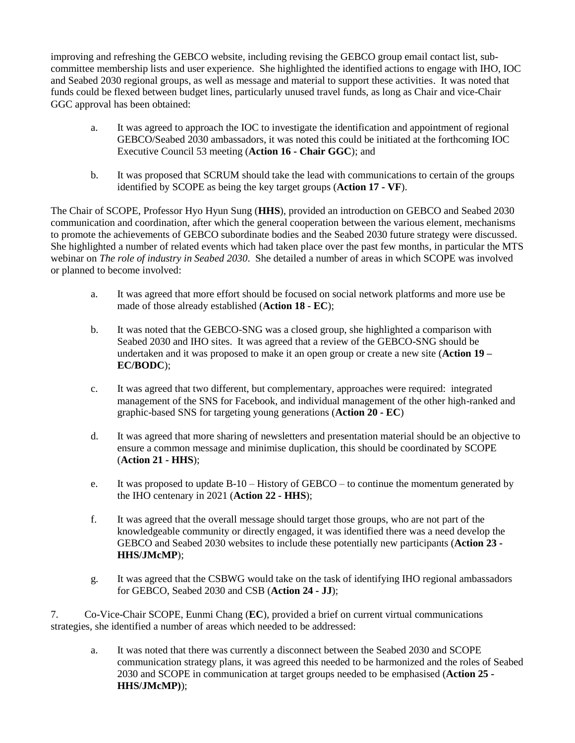improving and refreshing the GEBCO website, including revising the GEBCO group email contact list, subcommittee membership lists and user experience. She highlighted the identified actions to engage with IHO, IOC and Seabed 2030 regional groups, as well as message and material to support these activities. It was noted that funds could be flexed between budget lines, particularly unused travel funds, as long as Chair and vice-Chair GGC approval has been obtained:

- a. It was agreed to approach the IOC to investigate the identification and appointment of regional GEBCO/Seabed 2030 ambassadors, it was noted this could be initiated at the forthcoming IOC Executive Council 53 meeting (**Action 16 - Chair GGC**); and
- b. It was proposed that SCRUM should take the lead with communications to certain of the groups identified by SCOPE as being the key target groups (**Action 17 - VF**).

The Chair of SCOPE, Professor Hyo Hyun Sung (**HHS**), provided an introduction on GEBCO and Seabed 2030 communication and coordination, after which the general cooperation between the various element, mechanisms to promote the achievements of GEBCO subordinate bodies and the Seabed 2030 future strategy were discussed. She highlighted a number of related events which had taken place over the past few months, in particular the MTS webinar on *The role of industry in Seabed 2030*. She detailed a number of areas in which SCOPE was involved or planned to become involved:

- a. It was agreed that more effort should be focused on social network platforms and more use be made of those already established (**Action 18 - EC**);
- b. It was noted that the GEBCO-SNG was a closed group, she highlighted a comparison with Seabed 2030 and IHO sites. It was agreed that a review of the GEBCO-SNG should be undertaken and it was proposed to make it an open group or create a new site (**Action 19 – EC/BODC**);
- c. It was agreed that two different, but complementary, approaches were required: integrated management of the SNS for Facebook, and individual management of the other high-ranked and graphic-based SNS for targeting young generations (**Action 20 - EC**)
- d. It was agreed that more sharing of newsletters and presentation material should be an objective to ensure a common message and minimise duplication, this should be coordinated by SCOPE (**Action 21 - HHS**);
- e. It was proposed to update B-10 History of GEBCO to continue the momentum generated by the IHO centenary in 2021 (**Action 22 - HHS**);
- f. It was agreed that the overall message should target those groups, who are not part of the knowledgeable community or directly engaged, it was identified there was a need develop the GEBCO and Seabed 2030 websites to include these potentially new participants (**Action 23 - HHS/JMcMP**);
- g. It was agreed that the CSBWG would take on the task of identifying IHO regional ambassadors for GEBCO, Seabed 2030 and CSB (**Action 24 - JJ**);

7. Co-Vice-Chair SCOPE, Eunmi Chang (**EC**), provided a brief on current virtual communications strategies, she identified a number of areas which needed to be addressed:

a. It was noted that there was currently a disconnect between the Seabed 2030 and SCOPE communication strategy plans, it was agreed this needed to be harmonized and the roles of Seabed 2030 and SCOPE in communication at target groups needed to be emphasised (**Action 25 - HHS/JMcMP)**);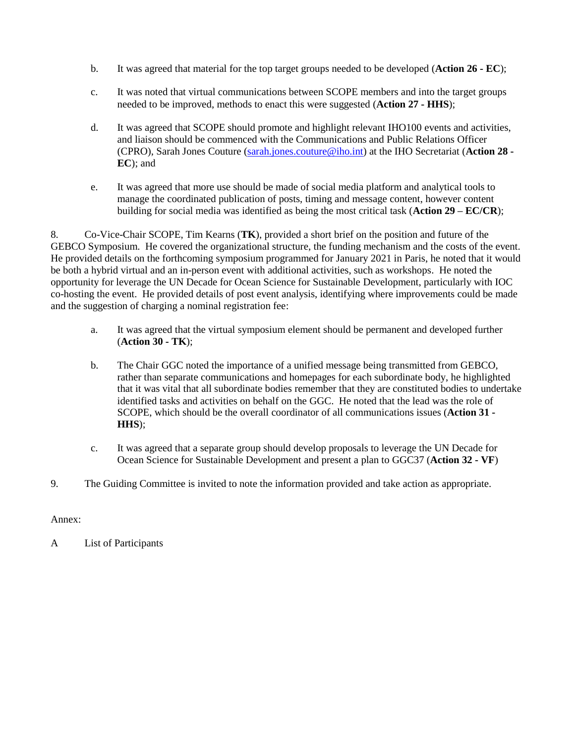- b. It was agreed that material for the top target groups needed to be developed (**Action 26 - EC**);
- c. It was noted that virtual communications between SCOPE members and into the target groups needed to be improved, methods to enact this were suggested (**Action 27 - HHS**);
- d. It was agreed that SCOPE should promote and highlight relevant IHO100 events and activities, and liaison should be commenced with the Communications and Public Relations Officer (CPRO), Sarah Jones Couture [\(sarah.jones.couture@iho.int\)](mailto:sarah.jones.couture@iho.int) at the IHO Secretariat (**Action 28 - EC**); and
- e. It was agreed that more use should be made of social media platform and analytical tools to manage the coordinated publication of posts, timing and message content, however content building for social media was identified as being the most critical task (**Action 29 – EC/CR**);

8. Co-Vice-Chair SCOPE, Tim Kearns (**TK**), provided a short brief on the position and future of the GEBCO Symposium. He covered the organizational structure, the funding mechanism and the costs of the event. He provided details on the forthcoming symposium programmed for January 2021 in Paris, he noted that it would be both a hybrid virtual and an in-person event with additional activities, such as workshops. He noted the opportunity for leverage the UN Decade for Ocean Science for Sustainable Development, particularly with IOC co-hosting the event. He provided details of post event analysis, identifying where improvements could be made and the suggestion of charging a nominal registration fee:

- a. It was agreed that the virtual symposium element should be permanent and developed further (**Action 30 - TK**);
- b. The Chair GGC noted the importance of a unified message being transmitted from GEBCO, rather than separate communications and homepages for each subordinate body, he highlighted that it was vital that all subordinate bodies remember that they are constituted bodies to undertake identified tasks and activities on behalf on the GGC. He noted that the lead was the role of SCOPE, which should be the overall coordinator of all communications issues (**Action 31 - HHS**);
- c. It was agreed that a separate group should develop proposals to leverage the UN Decade for Ocean Science for Sustainable Development and present a plan to GGC37 (**Action 32 - VF**)
- 9. The Guiding Committee is invited to note the information provided and take action as appropriate.

Annex:

A List of Participants